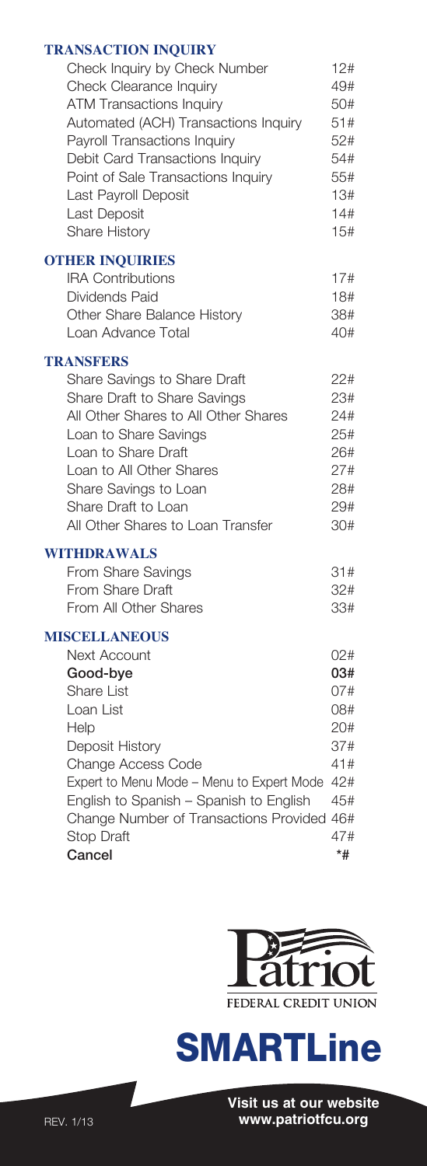### **TRANSACTION INQUIRY**

| <b>TRANSACTION INQUIRY</b>                    |     |
|-----------------------------------------------|-----|
| Check Inquiry by Check Number                 | 12# |
| Check Clearance Inquiry                       | 49# |
| <b>ATM Transactions Inquiry</b>               | 50# |
| Automated (ACH) Transactions Inquiry          | 51# |
| Payroll Transactions Inquiry                  | 52# |
| Debit Card Transactions Inquiry               | 54# |
| Point of Sale Transactions Inquiry            | 55# |
| Last Payroll Deposit                          | 13# |
| Last Deposit                                  | 14# |
| Share History                                 | 15# |
| <b>OTHER INQUIRIES</b>                        |     |
| <b>IRA Contributions</b>                      | 17# |
| Dividends Paid                                | 18# |
| Other Share Balance History                   | 38# |
| Loan Advance Total                            | 40# |
| <b>TRANSFERS</b>                              |     |
| Share Savings to Share Draft                  | 22# |
| Share Draft to Share Savings                  | 23# |
| All Other Shares to All Other Shares          | 24# |
| Loan to Share Savings                         | 25# |
| Loan to Share Draft                           | 26# |
| Loan to All Other Shares                      | 27# |
| Share Savings to Loan                         | 28# |
| Share Draft to Loan                           | 29# |
| All Other Shares to Loan Transfer             | 30# |
| WITHDRAWALS                                   |     |
| From Share Savings                            | 31# |
| From Share Draft                              | 32# |
| From All Other Shares                         | 33# |
|                                               |     |
| <b>MISCELLANEOUS</b><br><b>Next Account</b>   | 02# |
| Good-bye                                      | 03# |
| <b>Share List</b>                             | 07# |
| Loan List                                     | 08# |
| Help                                          | 20# |
| Deposit History                               | 37# |
| Change Access Code                            | 41# |
| Expert to Menu Mode - Menu to Expert Mode 42# |     |
| English to Spanish - Spanish to English       | 45# |
| Change Number of Transactions Provided 46#    |     |
| Stop Draft                                    | 47# |
| Cancel                                        | *#  |







 $\overline{L}$ 

**Cancel**